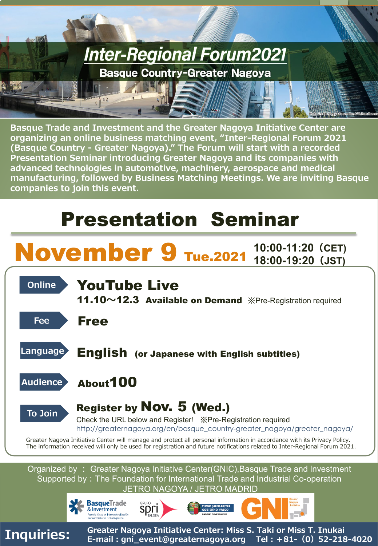

**Basque Trade and Investment and the Greater Nagoya Initiative Center are organizing an online business matching event, "Inter-Regional Forum 2021 (Basque Country - Greater Nagoya)." The Forum will start with a recorded Presentation Seminar introducing Greater Nagoya and its companies with advanced technologies in automotive, machinery, aerospace and medical manufacturing, followed by Business Matching Meetings. We are inviting Basque companies to join this event.** 

# Presentation Seminar

# **November 9 Tue.2021** 10:00-11:20 (CET) **Online YouTube Live** 11.10**~**12.3 Available on Demand ※Pre-Registration required **Fee** Free **Language** English (or Japanese with English subtitles) **Audience** About100 **To Join** Register by Nov. 5 (Wed.) Check the URL below and Register! ※Pre-Registration required http://greaternagoya.org/en/basque\_country-greater\_nagoya/greater\_nagoya/ Greater Nagoya Initiative Center will manage and protect all personal information in accordance with its Privacy Policy. The information received will only be used for registration and future notifications related to Inter-Regional Forum 2021. **18:00-19:20(JST)**

Organized by : Greater Nagoya Initiative Center(GNIC),Basque Trade and Investment Supported by: The Foundation for International Trade and Industrial Co-operation JETRO NAGOYA / JETRO MADRID



**Inquiries: Greater Nagoya Initiative Center: Miss S. Taki or Miss T. Inukai E-mail:gni\_event@greaternagoya.org Tel:+81-(0)52-218-4020**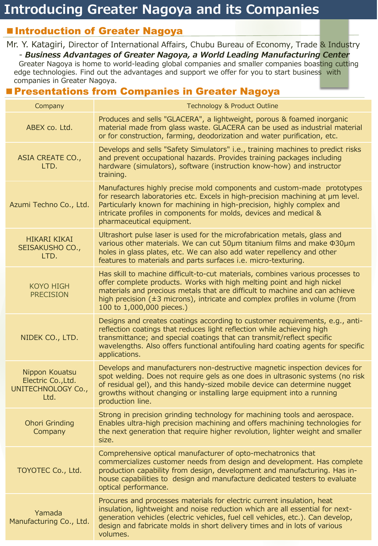#### ■ Introduction of Greater Nagoya

Mr. Y. Katagiri, Director of International Affairs, Chubu Bureau of Economy, Trade & Industry - *Business Advantages of Greater Nagoya, a World Leading Manufacturing Center* Greater Nagoya is home to world-leading global companies and smaller companies boasting cutting edge technologies. Find out the advantages and support we offer for you to start business with companies in Greater Nagoya.

#### ■ Presentations from Companies in Greater Nagoya

| Company                                                            | <b>Technology &amp; Product Outline</b>                                                                                                                                                                                                                                                                                                                  |
|--------------------------------------------------------------------|----------------------------------------------------------------------------------------------------------------------------------------------------------------------------------------------------------------------------------------------------------------------------------------------------------------------------------------------------------|
| ABEX co. Ltd.                                                      | Produces and sells "GLACERA", a lightweight, porous & foamed inorganic<br>material made from glass waste. GLACERA can be used as industrial material<br>or for construction, farming, deodorization and water purification, etc.                                                                                                                         |
| ASIA CREATE CO.,<br>LTD.                                           | Develops and sells "Safety Simulators" i.e., training machines to predict risks<br>and prevent occupational hazards. Provides training packages including<br>hardware (simulators), software (instruction know-how) and instructor<br>training.                                                                                                          |
| Azumi Techno Co., Ltd.                                             | Manufactures highly precise mold components and custom-made prototypes<br>for research laboratories etc. Excels in high-precision machining at um level.<br>Particularly known for machining in high-precision, highly complex and<br>intricate profiles in components for molds, devices and medical &<br>pharmaceutical equipment.                     |
| <b>HIKARI KIKAI</b><br>SEISAKUSHO CO.,<br>LTD.                     | Ultrashort pulse laser is used for the microfabrication metals, glass and<br>various other materials. We can cut 50um titanium films and make \$30um<br>holes in glass plates, etc. We can also add water repellency and other<br>features to materials and parts surfaces i.e. micro-texturing.                                                         |
| <b>KOYO HIGH</b><br><b>PRECISION</b>                               | Has skill to machine difficult-to-cut materials, combines various processes to<br>offer complete products. Works with high melting point and high nickel<br>materials and precious metals that are difficult to machine and can achieve<br>high precision $(\pm 3$ microns), intricate and complex profiles in volume (from<br>100 to 1,000,000 pieces.) |
| NIDEK CO., LTD.                                                    | Designs and creates coatings according to customer requirements, e.g., anti-<br>reflection coatings that reduces light reflection while achieving high<br>transmittance; and special coatings that can transmit/reflect specific<br>wavelengths. Also offers functional antifouling hard coating agents for specific<br>applications.                    |
| Nippon Kouatsu<br>Electric Co., Ltd.<br>UNITECHNOLOGY Co.,<br>Ltd. | Develops and manufacturers non-destructive magnetic inspection devices for<br>spot welding. Does not require gels as one does in ultrasonic systems (no risk<br>of residual gel), and this handy-sized mobile device can determine nugget<br>growths without changing or installing large equipment into a running<br>production line.                   |
| <b>Ohori Grinding</b><br>Company                                   | Strong in precision grinding technology for machining tools and aerospace.<br>Enables ultra-high precision machining and offers machining technologies for<br>the next generation that require higher revolution, lighter weight and smaller<br>size.                                                                                                    |
| TOYOTEC Co., Ltd.                                                  | Comprehensive optical manufacturer of opto-mechatronics that<br>commercializes customer needs from design and development. Has complete<br>production capability from design, development and manufacturing. Has in-<br>house capabilities to design and manufacture dedicated testers to evaluate<br>optical performance.                               |
| Yamada<br>Manufacturing Co., Ltd.                                  | Procures and processes materials for electric current insulation, heat<br>insulation, lightweight and noise reduction which are all essential for next-<br>generation vehicles (electric vehicles, fuel cell vehicles, etc.). Can develop,<br>design and fabricate molds in short delivery times and in lots of various<br>volumes.                      |